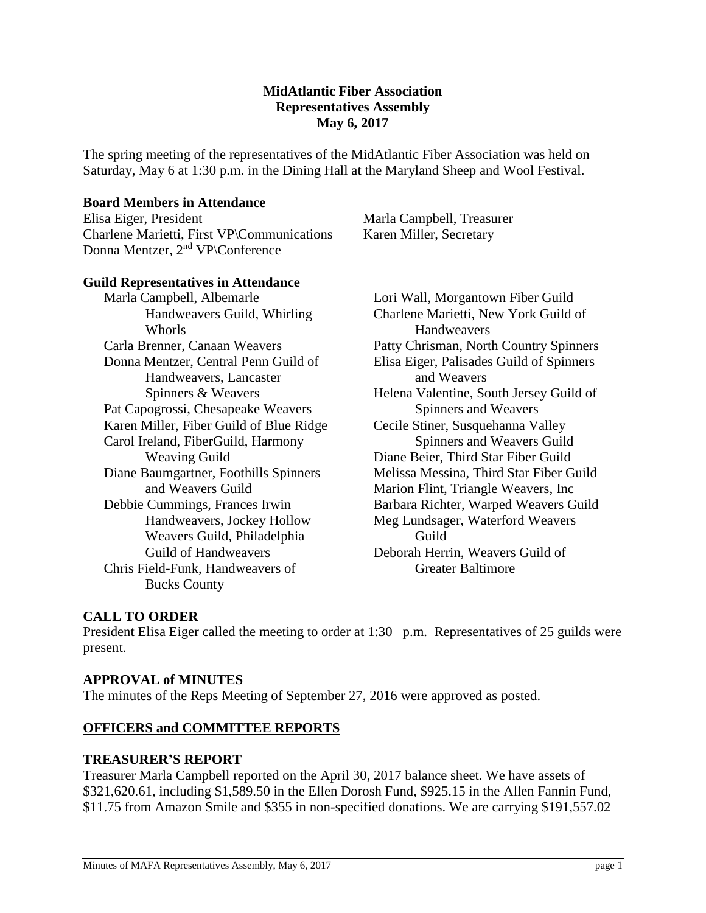#### **MidAtlantic Fiber Association Representatives Assembly May 6, 2017**

The spring meeting of the representatives of the MidAtlantic Fiber Association was held on Saturday, May 6 at 1:30 p.m. in the Dining Hall at the Maryland Sheep and Wool Festival.

#### **Board Members in Attendance**

Elisa Eiger, President Charlene Marietti, First VP\Communications Donna Mentzer, 2nd VP\Conference

Marla Campbell, Treasurer Karen Miller, Secretary

#### **Guild Representatives in Attendance**

Marla Campbell, Albemarle Handweavers Guild, Whirling Whorls Carla Brenner, Canaan Weavers Donna Mentzer, Central Penn Guild of Handweavers, Lancaster Spinners & Weavers Pat Capogrossi, Chesapeake Weavers Karen Miller, Fiber Guild of Blue Ridge Carol Ireland, FiberGuild, Harmony Weaving Guild Diane Baumgartner, Foothills Spinners and Weavers Guild Debbie Cummings, Frances Irwin Handweavers, Jockey Hollow Weavers Guild, Philadelphia Guild of Handweavers Chris Field-Funk, Handweavers of Bucks County

Lori Wall, Morgantown Fiber Guild Charlene Marietti, New York Guild of Handweavers Patty Chrisman, North Country Spinners Elisa Eiger, Palisades Guild of Spinners and Weavers Helena Valentine, South Jersey Guild of Spinners and Weavers Cecile Stiner, Susquehanna Valley Spinners and Weavers Guild Diane Beier, Third Star Fiber Guild Melissa Messina, Third Star Fiber Guild Marion Flint, Triangle Weavers, Inc Barbara Richter, Warped Weavers Guild Meg Lundsager, Waterford Weavers Guild Deborah Herrin, Weavers Guild of Greater Baltimore

## **CALL TO ORDER**

President Elisa Eiger called the meeting to order at 1:30 p.m. Representatives of 25 guilds were present.

#### **APPROVAL of MINUTES**

The minutes of the Reps Meeting of September 27, 2016 were approved as posted.

#### **OFFICERS and COMMITTEE REPORTS**

#### **TREASURER'S REPORT**

Treasurer Marla Campbell reported on the April 30, 2017 balance sheet. We have assets of \$321,620.61, including \$1,589.50 in the Ellen Dorosh Fund, \$925.15 in the Allen Fannin Fund, \$11.75 from Amazon Smile and \$355 in non-specified donations. We are carrying \$191,557.02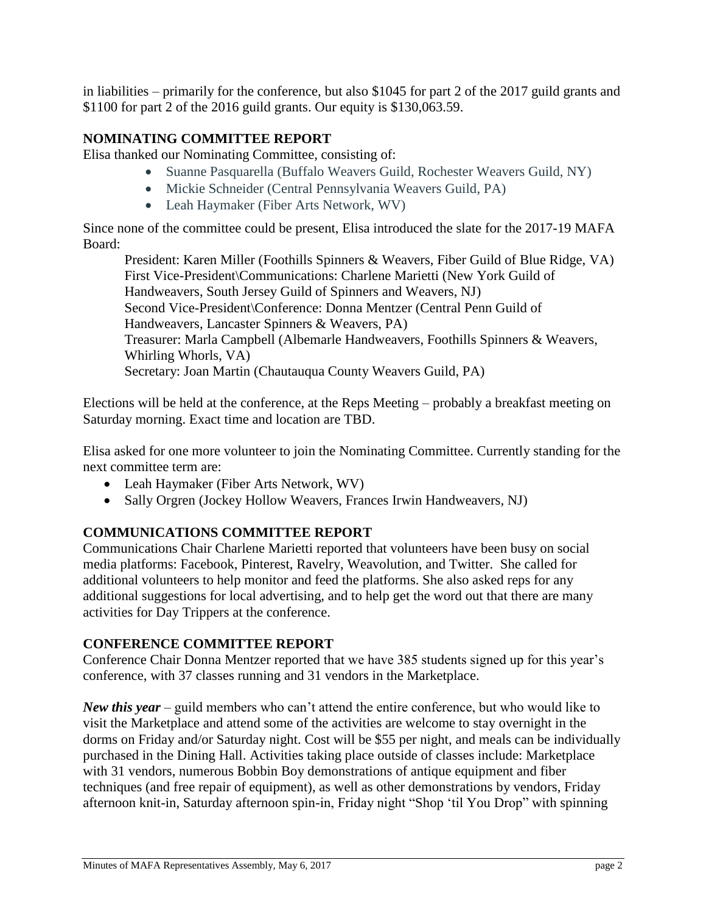in liabilities – primarily for the conference, but also \$1045 for part 2 of the 2017 guild grants and \$1100 for part 2 of the 2016 guild grants. Our equity is \$130,063.59.

# **NOMINATING COMMITTEE REPORT**

Elisa thanked our Nominating Committee, consisting of:

- Suanne Pasquarella (Buffalo Weavers Guild, Rochester Weavers Guild, NY)
- Mickie Schneider (Central Pennsylvania Weavers Guild, PA)
- Leah Haymaker (Fiber Arts Network, WV)

Since none of the committee could be present, Elisa introduced the slate for the 2017-19 MAFA Board:

President: Karen Miller (Foothills Spinners & Weavers, Fiber Guild of Blue Ridge, VA) First Vice-President\Communications: Charlene Marietti (New York Guild of Handweavers, South Jersey Guild of Spinners and Weavers, NJ) Second Vice-President\Conference: Donna Mentzer (Central Penn Guild of Handweavers, Lancaster Spinners & Weavers, PA) Treasurer: Marla Campbell (Albemarle Handweavers, Foothills Spinners & Weavers, Whirling Whorls, VA) Secretary: Joan Martin (Chautauqua County Weavers Guild, PA)

Elections will be held at the conference, at the Reps Meeting – probably a breakfast meeting on Saturday morning. Exact time and location are TBD.

Elisa asked for one more volunteer to join the Nominating Committee. Currently standing for the next committee term are:

- Leah Haymaker (Fiber Arts Network, WV)
- Sally Orgren (Jockey Hollow Weavers, Frances Irwin Handweavers, NJ)

# **COMMUNICATIONS COMMITTEE REPORT**

Communications Chair Charlene Marietti reported that volunteers have been busy on social media platforms: Facebook, Pinterest, Ravelry, Weavolution, and Twitter. She called for additional volunteers to help monitor and feed the platforms. She also asked reps for any additional suggestions for local advertising, and to help get the word out that there are many activities for Day Trippers at the conference.

## **CONFERENCE COMMITTEE REPORT**

Conference Chair Donna Mentzer reported that we have 385 students signed up for this year's conference, with 37 classes running and 31 vendors in the Marketplace.

*New this year* – guild members who can't attend the entire conference, but who would like to visit the Marketplace and attend some of the activities are welcome to stay overnight in the dorms on Friday and/or Saturday night. Cost will be \$55 per night, and meals can be individually purchased in the Dining Hall. Activities taking place outside of classes include: Marketplace with 31 vendors, numerous Bobbin Boy demonstrations of antique equipment and fiber techniques (and free repair of equipment), as well as other demonstrations by vendors, Friday afternoon knit-in, Saturday afternoon spin-in, Friday night "Shop 'til You Drop" with spinning